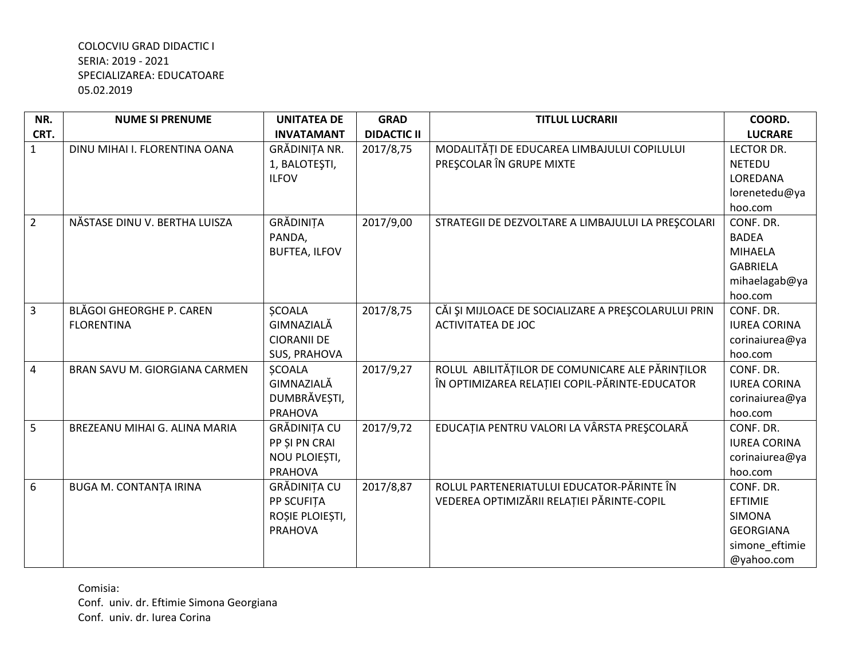| NR.            | <b>NUME SI PRENUME</b>        | <b>UNITATEA DE</b>   | <b>GRAD</b>        | <b>TITLUL LUCRARII</b>                              | COORD.              |
|----------------|-------------------------------|----------------------|--------------------|-----------------------------------------------------|---------------------|
| CRT.           |                               | <b>INVATAMANT</b>    | <b>DIDACTIC II</b> |                                                     | <b>LUCRARE</b>      |
| $\mathbf{1}$   | DINU MIHAI I. FLORENTINA OANA | GRĂDINIȚA NR.        | 2017/8,75          | MODALITĂȚI DE EDUCAREA LIMBAJULUI COPILULUI         | <b>LECTOR DR.</b>   |
|                |                               | 1, BALOTEŞTI,        |                    | PREȘCOLAR ÎN GRUPE MIXTE                            | <b>NETEDU</b>       |
|                |                               | <b>ILFOV</b>         |                    |                                                     | LOREDANA            |
|                |                               |                      |                    |                                                     | lorenetedu@ya       |
|                |                               |                      |                    |                                                     | hoo.com             |
| $\overline{2}$ | NĂSTASE DINU V. BERTHA LUISZA | GRĂDINIȚA            | 2017/9,00          | STRATEGII DE DEZVOLTARE A LIMBAJULUI LA PREȘCOLARI  | CONF. DR.           |
|                |                               | PANDA,               |                    |                                                     | <b>BADEA</b>        |
|                |                               | <b>BUFTEA, ILFOV</b> |                    |                                                     | MIHAELA             |
|                |                               |                      |                    |                                                     | <b>GABRIELA</b>     |
|                |                               |                      |                    |                                                     | mihaelagab@ya       |
|                |                               |                      |                    |                                                     | hoo.com             |
| $\overline{3}$ | BLĂGOI GHEORGHE P. CAREN      | <b>ŞCOALA</b>        | 2017/8,75          | CĂI ȘI MIJLOACE DE SOCIALIZARE A PREȘCOLARULUI PRIN | CONF. DR.           |
|                | <b>FLORENTINA</b>             | GIMNAZIALĂ           |                    | <b>ACTIVITATEA DE JOC</b>                           | <b>IUREA CORINA</b> |
|                |                               | <b>CIORANII DE</b>   |                    |                                                     | corinaiurea@ya      |
|                |                               | <b>SUS, PRAHOVA</b>  |                    |                                                     | hoo.com             |
| $\overline{4}$ | BRAN SAVU M. GIORGIANA CARMEN | <b>ŞCOALA</b>        | 2017/9,27          | ROLUL ABILITĂȚILOR DE COMUNICARE ALE PĂRINȚILOR     | CONF. DR.           |
|                |                               | GIMNAZIALĂ           |                    | ÎN OPTIMIZAREA RELAȚIEI COPIL-PĂRINTE-EDUCATOR      | <b>IUREA CORINA</b> |
|                |                               | DUMBRĂVEȘTI,         |                    |                                                     | corinaiurea@ya      |
|                |                               | <b>PRAHOVA</b>       |                    |                                                     | hoo.com             |
| 5              | BREZEANU MIHAI G. ALINA MARIA | <b>GRĂDINIȚA CU</b>  | 2017/9,72          | EDUCAȚIA PENTRU VALORI LA VÂRSTA PREȘCOLARĂ         | CONF. DR.           |
|                |                               | PP ȘI PN CRAI        |                    |                                                     | <b>IUREA CORINA</b> |
|                |                               | NOU PLOIEȘTI,        |                    |                                                     | corinaiurea@ya      |
|                |                               | <b>PRAHOVA</b>       |                    |                                                     | hoo.com             |
| 6              | <b>BUGA M. CONTANȚA IRINA</b> | <b>GRĂDINIȚA CU</b>  | 2017/8,87          | ROLUL PARTENERIATULUI EDUCATOR-PĂRINTE ÎN           | CONF. DR.           |
|                |                               | <b>PP SCUFITA</b>    |                    | VEDEREA OPTIMIZĂRII RELAȚIEI PĂRINTE-COPIL          | EFTIMIE             |
|                |                               | ROȘIE PLOIEȘTI,      |                    |                                                     | <b>SIMONA</b>       |
|                |                               | <b>PRAHOVA</b>       |                    |                                                     | <b>GEORGIANA</b>    |
|                |                               |                      |                    |                                                     | simone_eftimie      |
|                |                               |                      |                    |                                                     | @yahoo.com          |

Comisia: Conf. univ. dr. Eftimie Simona Georgiana Conf. univ. dr. Iurea Corina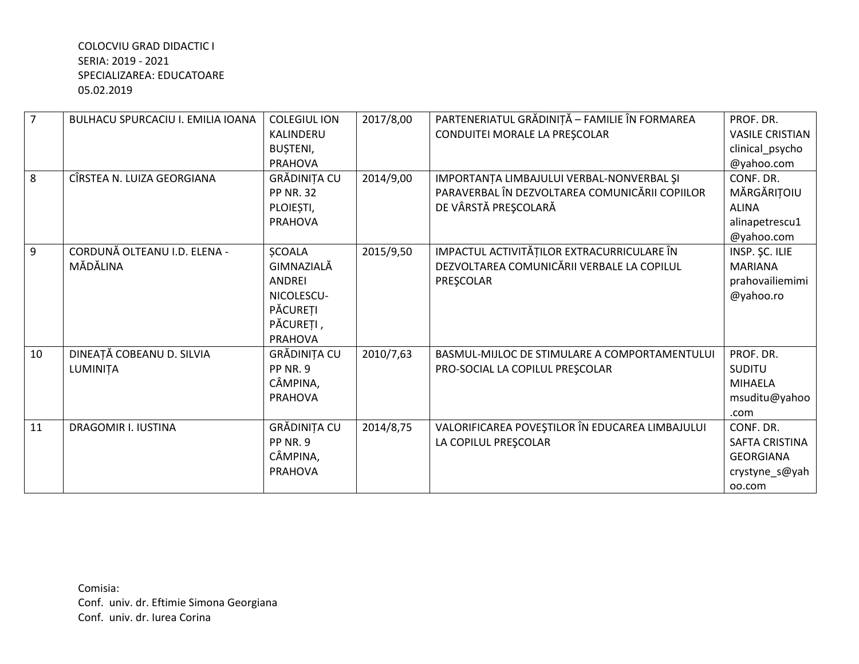| $\overline{7}$ | <b>BULHACU SPURCACIU I. EMILIA IOANA</b> | <b>COLEGIUL ION</b> | 2017/8,00 | PARTENERIATUL GRĂDINIȚĂ - FAMILIE ÎN FORMAREA   | PROF. DR.              |
|----------------|------------------------------------------|---------------------|-----------|-------------------------------------------------|------------------------|
|                |                                          | KALINDERU           |           | CONDUITEI MORALE LA PREȘCOLAR                   | <b>VASILE CRISTIAN</b> |
|                |                                          | BUȘTENI,            |           |                                                 | clinical_psycho        |
|                |                                          | <b>PRAHOVA</b>      |           |                                                 | @yahoo.com             |
| 8              | CÎRSTEA N. LUIZA GEORGIANA               | GRĂDINIȚA CU        | 2014/9,00 | IMPORTANȚA LIMBAJULUI VERBAL-NONVERBAL ȘI       | CONF. DR.              |
|                |                                          | <b>PP NR. 32</b>    |           | PARAVERBAL ÎN DEZVOLTAREA COMUNICĂRII COPIILOR  | MĂRGĂRIȚOIU            |
|                |                                          | PLOIEȘTI,           |           | DE VÂRSTĂ PREȘCOLARĂ                            | <b>ALINA</b>           |
|                |                                          | <b>PRAHOVA</b>      |           |                                                 | alinapetrescu1         |
|                |                                          |                     |           |                                                 | @yahoo.com             |
| 9              | CORDUNĂ OLTEANU I.D. ELENA -             | <b>ȘCOALA</b>       | 2015/9,50 | IMPACTUL ACTIVITĂȚILOR EXTRACURRICULARE ÎN      | INSP. SC. ILIE         |
|                | MĂDĂLINA                                 | GIMNAZIALĂ          |           | DEZVOLTAREA COMUNICĂRII VERBALE LA COPILUL      | <b>MARIANA</b>         |
|                |                                          | <b>ANDRFI</b>       |           | PRESCOLAR                                       | prahovailiemimi        |
|                |                                          | NICOLESCU-          |           |                                                 | @yahoo.ro              |
|                |                                          | PĂCUREȚI            |           |                                                 |                        |
|                |                                          | PĂCUREȚI,           |           |                                                 |                        |
|                |                                          | <b>PRAHOVA</b>      |           |                                                 |                        |
| 10             | DINEAȚĂ COBEANU D. SILVIA                | GRĂDINIȚA CU        | 2010/7,63 | BASMUL-MIJLOC DE STIMULARE A COMPORTAMENTULUI   | PROF. DR.              |
|                | LUMINIȚA                                 | PP NR. 9            |           | PRO-SOCIAL LA COPILUL PRESCOLAR                 | <b>SUDITU</b>          |
|                |                                          | CÂMPINA,            |           |                                                 | <b>MIHAELA</b>         |
|                |                                          | <b>PRAHOVA</b>      |           |                                                 | msuditu@yahoo          |
|                |                                          |                     |           |                                                 | .com                   |
| 11             | <b>DRAGOMIR I. IUSTINA</b>               | GRĂDINIȚA CU        | 2014/8,75 | VALORIFICAREA POVEȘTILOR ÎN EDUCAREA LIMBAJULUI | CONF. DR.              |
|                |                                          | PP NR. 9            |           | LA COPILUL PREȘCOLAR                            | <b>SAFTA CRISTINA</b>  |
|                |                                          | CÂMPINA,            |           |                                                 | <b>GEORGIANA</b>       |
|                |                                          | <b>PRAHOVA</b>      |           |                                                 | crystyne_s@yah         |
|                |                                          |                     |           |                                                 | 00.com                 |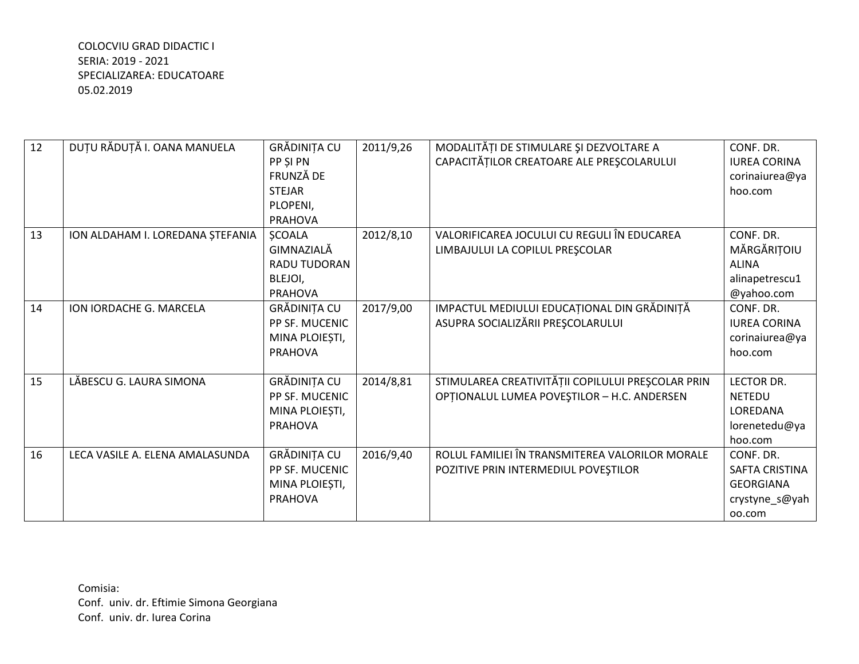| 12 | DUȚU RĂDUȚĂ I. OANA MANUELA      | GRĂDINIȚA CU   | 2011/9,26 | MODALITĂȚI DE STIMULARE ȘI DEZVOLTARE A           | CONF. DR.             |
|----|----------------------------------|----------------|-----------|---------------------------------------------------|-----------------------|
|    |                                  | PP SI PN       |           | CAPACITĂȚILOR CREATOARE ALE PREȘCOLARULUI         | <b>IUREA CORINA</b>   |
|    |                                  | FRUNZĂ DE      |           |                                                   | corinaiurea@ya        |
|    |                                  | <b>STEJAR</b>  |           |                                                   | hoo.com               |
|    |                                  | PLOPENI,       |           |                                                   |                       |
|    |                                  | <b>PRAHOVA</b> |           |                                                   |                       |
| 13 | ION ALDAHAM I. LOREDANA ȘTEFANIA | <b>ŞCOALA</b>  | 2012/8,10 | VALORIFICAREA JOCULUI CU REGULI ÎN EDUCAREA       | CONF. DR.             |
|    |                                  | GIMNAZIALĂ     |           | LIMBAJULUI LA COPILUL PREȘCOLAR                   | MĂRGĂRIȚOIU           |
|    |                                  | RADU TUDORAN   |           |                                                   | <b>ALINA</b>          |
|    |                                  | BLEJOI,        |           |                                                   | alinapetrescu1        |
|    |                                  | <b>PRAHOVA</b> |           |                                                   | @yahoo.com            |
| 14 | ION IORDACHE G. MARCELA          | GRĂDINIȚA CU   | 2017/9,00 | IMPACTUL MEDIULUI EDUCAȚIONAL DIN GRĂDINIȚĂ       | CONF. DR.             |
|    |                                  | PP SF. MUCENIC |           | ASUPRA SOCIALIZĂRII PREȘCOLARULUI                 | <b>IUREA CORINA</b>   |
|    |                                  | MINA PLOIEȘTI, |           |                                                   | corinaiurea@ya        |
|    |                                  | <b>PRAHOVA</b> |           |                                                   | hoo.com               |
|    |                                  |                |           |                                                   |                       |
| 15 | LĂBESCU G. LAURA SIMONA          | GRĂDINIȚA CU   | 2014/8,81 | STIMULAREA CREATIVITĂȚII COPILULUI PREȘCOLAR PRIN | <b>LECTOR DR.</b>     |
|    |                                  | PP SF. MUCENIC |           | OPȚIONALUL LUMEA POVEȘTILOR - H.C. ANDERSEN       | <b>NETEDU</b>         |
|    |                                  | MINA PLOIEȘTI, |           |                                                   | LOREDANA              |
|    |                                  | <b>PRAHOVA</b> |           |                                                   | lorenetedu@ya         |
|    |                                  |                |           |                                                   | hoo.com               |
| 16 | LECA VASILE A. ELENA AMALASUNDA  | GRĂDINIȚA CU   | 2016/9,40 | ROLUL FAMILIEI ÎN TRANSMITEREA VALORILOR MORALE   | CONF. DR.             |
|    |                                  | PP SF. MUCENIC |           | POZITIVE PRIN INTERMEDIUL POVEȘTILOR              | <b>SAFTA CRISTINA</b> |
|    |                                  | MINA PLOIEȘTI, |           |                                                   | <b>GEORGIANA</b>      |
|    |                                  | <b>PRAHOVA</b> |           |                                                   | crystyne_s@yah        |
|    |                                  |                |           |                                                   | 00.com                |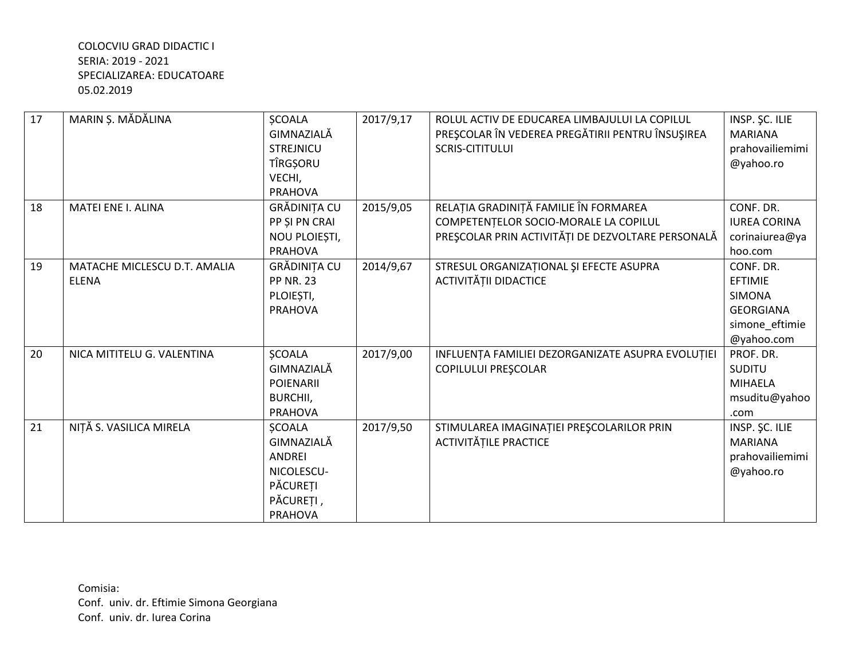| 17 | MARIN Ș. MĂDĂLINA            | <b>SCOALA</b>    | 2017/9,17 | ROLUL ACTIV DE EDUCAREA LIMBAJULUI LA COPILUL     | INSP. ŞC. ILIE      |
|----|------------------------------|------------------|-----------|---------------------------------------------------|---------------------|
|    |                              | GIMNAZIALĂ       |           | PREȘCOLAR ÎN VEDEREA PREGĂTIRII PENTRU ÎNSUȘIREA  | <b>MARIANA</b>      |
|    |                              | <b>STREJNICU</b> |           | <b>SCRIS-CITITULUI</b>                            | prahovailiemimi     |
|    |                              | TÎRGŞORU         |           |                                                   | @yahoo.ro           |
|    |                              | VECHI,           |           |                                                   |                     |
|    |                              | <b>PRAHOVA</b>   |           |                                                   |                     |
| 18 | MATEI ENE I. ALINA           | GRĂDINIȚA CU     | 2015/9,05 | RELAȚIA GRADINIȚĂ FAMILIE ÎN FORMAREA             | CONF. DR.           |
|    |                              | PP ȘI PN CRAI    |           | COMPETENTELOR SOCIO-MORALE LA COPILUL             | <b>IUREA CORINA</b> |
|    |                              | NOU PLOIEȘTI,    |           | PREȘCOLAR PRIN ACTIVITĂȚI DE DEZVOLTARE PERSONALĂ | corinaiurea@ya      |
|    |                              | <b>PRAHOVA</b>   |           |                                                   | hoo.com             |
| 19 | MATACHE MICLESCU D.T. AMALIA | GRĂDINIȚA CU     | 2014/9,67 | STRESUL ORGANIZAȚIONAL ȘI EFECTE ASUPRA           | CONF. DR.           |
|    | <b>ELENA</b>                 | <b>PP NR. 23</b> |           | ACTIVITĂȚII DIDACTICE                             | <b>EFTIMIE</b>      |
|    |                              | PLOIESTI,        |           |                                                   | <b>SIMONA</b>       |
|    |                              | <b>PRAHOVA</b>   |           |                                                   | <b>GEORGIANA</b>    |
|    |                              |                  |           |                                                   | simone_eftimie      |
|    |                              |                  |           |                                                   | @yahoo.com          |
| 20 | NICA MITITELU G. VALENTINA   | <b>ŞCOALA</b>    | 2017/9,00 | INFLUENȚA FAMILIEI DEZORGANIZATE ASUPRA EVOLUȚIEI | PROF. DR.           |
|    |                              | GIMNAZIALĂ       |           | <b>COPILULUI PRESCOLAR</b>                        | <b>SUDITU</b>       |
|    |                              | <b>POIENARII</b> |           |                                                   | <b>MIHAELA</b>      |
|    |                              | BURCHII,         |           |                                                   | msuditu@yahoo       |
|    |                              | <b>PRAHOVA</b>   |           |                                                   | .com                |
| 21 | NIȚĂ S. VASILICA MIRELA      | <b>SCOALA</b>    | 2017/9,50 | STIMULAREA IMAGINAȚIEI PREȘCOLARILOR PRIN         | INSP. ŞC. ILIE      |
|    |                              | GIMNAZIALĂ       |           | <b>ACTIVITĂȚILE PRACTICE</b>                      | <b>MARIANA</b>      |
|    |                              | <b>ANDREI</b>    |           |                                                   | prahovailiemimi     |
|    |                              | NICOLESCU-       |           |                                                   | @yahoo.ro           |
|    |                              | PĂCUREȚI         |           |                                                   |                     |
|    |                              | PĂCUREȚI,        |           |                                                   |                     |
|    |                              | <b>PRAHOVA</b>   |           |                                                   |                     |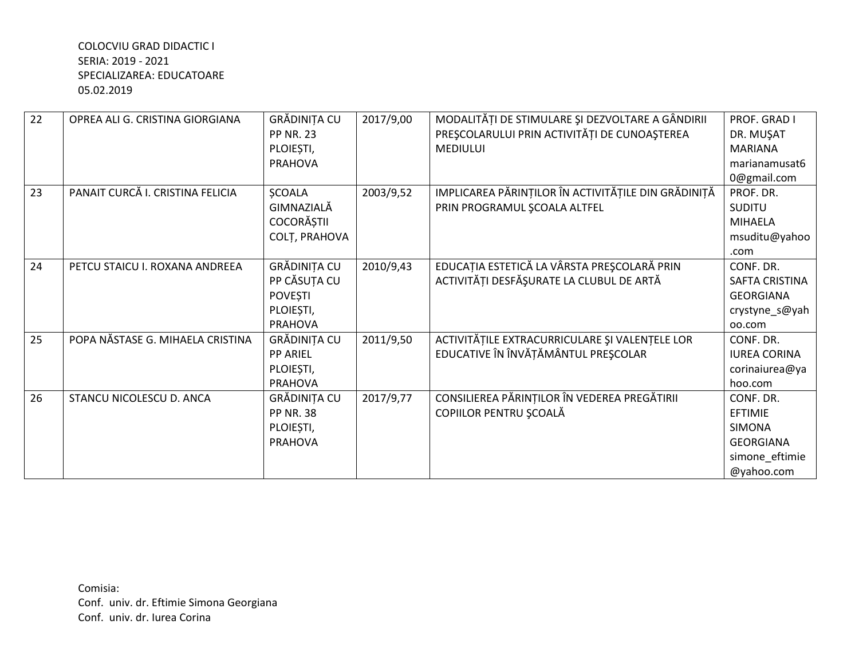| 22 | OPREA ALI G. CRISTINA GIORGIANA  | GRĂDINIȚA CU      | 2017/9,00 | MODALITĂȚI DE STIMULARE ȘI DEZVOLTARE A GÂNDIRII    | PROF. GRAD I          |
|----|----------------------------------|-------------------|-----------|-----------------------------------------------------|-----------------------|
|    |                                  | <b>PP NR. 23</b>  |           | PREȘCOLARULUI PRIN ACTIVITĂȚI DE CUNOAȘTEREA        | DR. MUŞAT             |
|    |                                  | PLOIEȘTI,         |           | <b>MEDIULUI</b>                                     | <b>MARIANA</b>        |
|    |                                  | <b>PRAHOVA</b>    |           |                                                     | marianamusat6         |
|    |                                  |                   |           |                                                     | 0@gmail.com           |
| 23 | PANAIT CURCĂ I. CRISTINA FELICIA | <b>ŞCOALA</b>     | 2003/9,52 | IMPLICAREA PĂRINȚILOR ÎN ACTIVITĂȚILE DIN GRĂDINIȚĂ | PROF. DR.             |
|    |                                  | GIMNAZIALĂ        |           | PRIN PROGRAMUL SCOALA ALTFEL                        | <b>SUDITU</b>         |
|    |                                  | <b>COCORĂȘTII</b> |           |                                                     | <b>MIHAELA</b>        |
|    |                                  | COLȚ, PRAHOVA     |           |                                                     | msuditu@yahoo         |
|    |                                  |                   |           |                                                     | .com                  |
| 24 | PETCU STAICU I. ROXANA ANDREEA   | GRĂDINIȚA CU      | 2010/9,43 | EDUCAȚIA ESTETICĂ LA VÂRSTA PREȘCOLARĂ PRIN         | CONF. DR.             |
|    |                                  | PP CĂSUTA CU      |           | ACTIVITĂȚI DESFĂȘURATE LA CLUBUL DE ARTĂ            | <b>SAFTA CRISTINA</b> |
|    |                                  | <b>POVEȘTI</b>    |           |                                                     | <b>GEORGIANA</b>      |
|    |                                  | PLOIEȘTI,         |           |                                                     | crystyne_s@yah        |
|    |                                  | <b>PRAHOVA</b>    |           |                                                     | 00.com                |
| 25 | POPA NĂSTASE G. MIHAELA CRISTINA | GRĂDINIȚA CU      | 2011/9,50 | ACTIVITĂȚILE EXTRACURRICULARE ȘI VALENȚELE LOR      | CONF. DR.             |
|    |                                  | <b>PP ARIEL</b>   |           | EDUCATIVE ÎN ÎNVĂȚĂMÂNTUL PREȘCOLAR                 | <b>IUREA CORINA</b>   |
|    |                                  | PLOIEȘTI,         |           |                                                     | corinaiurea@ya        |
|    |                                  | <b>PRAHOVA</b>    |           |                                                     | hoo.com               |
| 26 | STANCU NICOLESCU D. ANCA         | GRĂDINIȚA CU      | 2017/9,77 | CONSILIEREA PĂRINȚILOR ÎN VEDEREA PREGĂTIRII        | CONF. DR.             |
|    |                                  | <b>PP NR. 38</b>  |           | COPIILOR PENTRU SCOALĂ                              | EFTIMIE               |
|    |                                  | PLOIEȘTI,         |           |                                                     | <b>SIMONA</b>         |
|    |                                  | <b>PRAHOVA</b>    |           |                                                     | <b>GEORGIANA</b>      |
|    |                                  |                   |           |                                                     | simone_eftimie        |
|    |                                  |                   |           |                                                     | @yahoo.com            |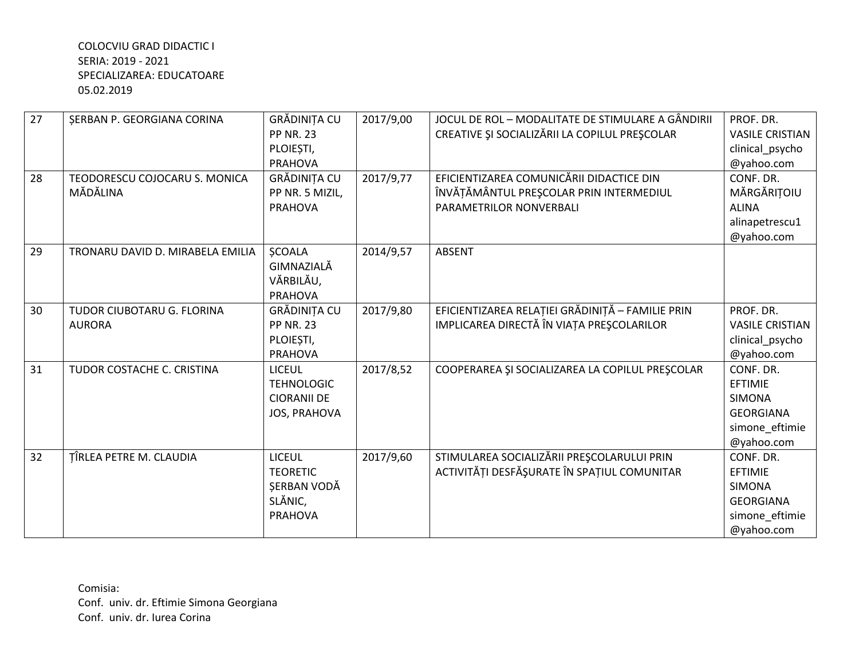| 27 | <b>ŞERBAN P. GEORGIANA CORINA</b> | GRĂDINIȚA CU                   | 2017/9,00 | JOCUL DE ROL - MODALITATE DE STIMULARE A GÂNDIRII | PROF. DR.                |
|----|-----------------------------------|--------------------------------|-----------|---------------------------------------------------|--------------------------|
|    |                                   | <b>PP NR. 23</b>               |           | CREATIVE ȘI SOCIALIZĂRII LA COPILUL PREȘCOLAR     | <b>VASILE CRISTIAN</b>   |
|    |                                   | PLOIEȘTI,                      |           |                                                   | clinical_psycho          |
|    |                                   | <b>PRAHOVA</b>                 |           |                                                   | @yahoo.com               |
| 28 | TEODORESCU COJOCARU S. MONICA     | GRĂDINIȚA CU                   | 2017/9,77 | EFICIENTIZAREA COMUNICĂRII DIDACTICE DIN          | CONF. DR.                |
|    | MĂDĂLINA                          | PP NR. 5 MIZIL,                |           | ÎNVĂȚĂMÂNTUL PREȘCOLAR PRIN INTERMEDIUL           | MĂRGĂRIȚOIU              |
|    |                                   | <b>PRAHOVA</b>                 |           | PARAMETRILOR NONVERBALI                           | <b>ALINA</b>             |
|    |                                   |                                |           |                                                   | alinapetrescu1           |
|    |                                   |                                |           |                                                   | @yahoo.com               |
| 29 | TRONARU DAVID D. MIRABELA EMILIA  | <b>ŞCOALA</b>                  | 2014/9,57 | <b>ABSENT</b>                                     |                          |
|    |                                   | GIMNAZIALĂ                     |           |                                                   |                          |
|    |                                   | VĂRBILĂU,                      |           |                                                   |                          |
|    |                                   | <b>PRAHOVA</b>                 |           |                                                   |                          |
| 30 | TUDOR CIUBOTARU G. FLORINA        | GRĂDINIȚA CU                   | 2017/9,80 | EFICIENTIZAREA RELAȚIEI GRĂDINIȚĂ - FAMILIE PRIN  | PROF. DR.                |
|    | <b>AURORA</b>                     | <b>PP NR. 23</b>               |           | IMPLICAREA DIRECTĂ ÎN VIAȚA PREȘCOLARILOR         | <b>VASILE CRISTIAN</b>   |
|    |                                   | PLOIEȘTI,                      |           |                                                   | clinical_psycho          |
|    |                                   | <b>PRAHOVA</b>                 |           |                                                   | @yahoo.com               |
| 31 | TUDOR COSTACHE C. CRISTINA        | <b>LICEUL</b>                  | 2017/8,52 | COOPERAREA ȘI SOCIALIZAREA LA COPILUL PREȘCOLAR   | CONF. DR.                |
|    |                                   | <b>TEHNOLOGIC</b>              |           |                                                   | EFTIMIE                  |
|    |                                   | <b>CIORANII DE</b>             |           |                                                   | <b>SIMONA</b>            |
|    |                                   | <b>JOS, PRAHOVA</b>            |           |                                                   | <b>GEORGIANA</b>         |
|    |                                   |                                |           |                                                   | simone_eftimie           |
| 32 |                                   | <b>LICEUL</b>                  |           | STIMULAREA SOCIALIZĂRII PREȘCOLARULUI PRIN        | @yahoo.com<br>CONF. DR.  |
|    | TÎRLEA PETRE M. CLAUDIA           |                                | 2017/9,60 | ACTIVITĂȚI DESFĂȘURATE ÎN SPAȚIUL COMUNITAR       |                          |
|    |                                   | <b>TEORETIC</b><br>SERBAN VODĂ |           |                                                   | EFTIMIE<br><b>SIMONA</b> |
|    |                                   | SLĂNIC,                        |           |                                                   | <b>GEORGIANA</b>         |
|    |                                   | <b>PRAHOVA</b>                 |           |                                                   |                          |
|    |                                   |                                |           |                                                   | simone_eftimie           |
|    |                                   |                                |           |                                                   | @yahoo.com               |